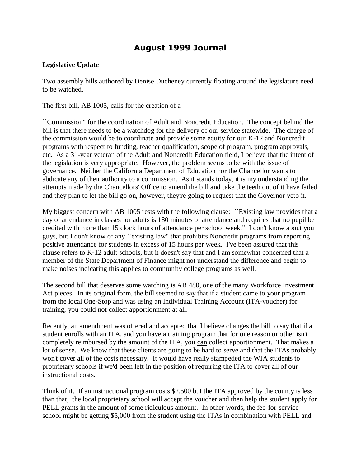## **August 1999 Journal**

#### **Legislative Update**

Two assembly bills authored by Denise Ducheney currently floating around the legislature need to be watched.

The first bill, AB 1005, calls for the creation of a

``Commission" for the coordination of Adult and Noncredit Education. The concept behind the bill is that there needs to be a watchdog for the delivery of our service statewide. The charge of the commission would be to coordinate and provide some equity for our K-12 and Noncredit programs with respect to funding, teacher qualification, scope of program, program approvals, etc. As a 31-year veteran of the Adult and Noncredit Education field, I believe that the intent of the legislation is very appropriate. However, the problem seems to be with the issue of governance. Neither the California Department of Education nor the Chancellor wants to abdicate any of their authority to a commission. As it stands today, it is my understanding the attempts made by the Chancellors' Office to amend the bill and take the teeth out of it have failed and they plan to let the bill go on, however, they're going to request that the Governor veto it.

My biggest concern with AB 1005 rests with the following clause: ``Existing law provides that a day of attendance in classes for adults is 180 minutes of attendance and requires that no pupil be credited with more than 15 clock hours of attendance per school week." I don't know about you guys, but I don't know of any ``existing law" that prohibits Noncredit programs from reporting positive attendance for students in excess of 15 hours per week. I've been assured that this clause refers to K-12 adult schools, but it doesn't say that and I am somewhat concerned that a member of the State Department of Finance might not understand the difference and begin to make noises indicating this applies to community college programs as well.

The second bill that deserves some watching is AB 480, one of the many Workforce Investment Act pieces. In its original form, the bill seemed to say that if a student came to your program from the local One-Stop and was using an Individual Training Account (ITA-voucher) for training, you could not collect apportionment at all.

Recently, an amendment was offered and accepted that I believe changes the bill to say that if a student enrolls with an ITA, and you have a training program that for one reason or other isn't completely reimbursed by the amount of the ITA, you can collect apportionment. That makes a lot of sense. We know that these clients are going to be hard to serve and that the ITAs probably won't cover all of the costs necessary. It would have really stampeded the WIA students to proprietary schools if we'd been left in the position of requiring the ITA to cover all of our instructional costs.

Think of it. If an instructional program costs \$2,500 but the ITA approved by the county is less than that, the local proprietary school will accept the voucher and then help the student apply for PELL grants in the amount of some ridiculous amount. In other words, the fee-for-service school might be getting \$5,000 from the student using the ITAs in combination with PELL and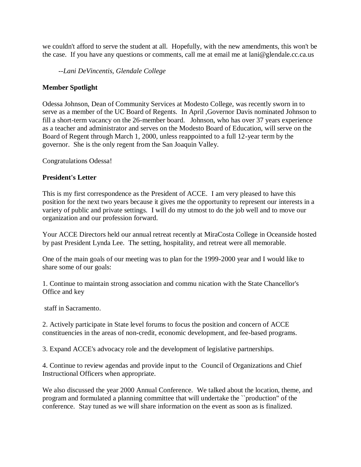we couldn't afford to serve the student at all. Hopefully, with the new amendments, this won't be the case. If you have any questions or comments, call me at email me at lani@glendale.cc.ca.us

 *--Lani DeVincentis, Glendale College*

#### **Member Spotlight**

Odessa Johnson, Dean of Community Services at Modesto College, was recently sworn in to serve as a member of the UC Board of Regents. In April ,Governor Davis nominated Johnson to fill a short-term vacancy on the 26-member board. Johnson, who has over 37 years experience as a teacher and administrator and serves on the Modesto Board of Education, will serve on the Board of Regent through March 1, 2000, unless reappointed to a full 12-year term by the governor. She is the only regent from the San Joaquin Valley.

Congratulations Odessa!

#### **President's Letter**

This is my first correspondence as the President of ACCE. I am very pleased to have this position for the next two years because it gives me the opportunity to represent our interests in a variety of public and private settings. I will do my utmost to do the job well and to move our organization and our profession forward.

Your ACCE Directors held our annual retreat recently at MiraCosta College in Oceanside hosted by past President Lynda Lee. The setting, hospitality, and retreat were all memorable.

One of the main goals of our meeting was to plan for the 1999-2000 year and I would like to share some of our goals:

1. Continue to maintain strong association and commu nication with the State Chancellor's Office and key

staff in Sacramento.

2. Actively participate in State level forums to focus the position and concern of ACCE constituencies in the areas of non-credit, economic development, and fee-based programs.

3. Expand ACCE's advocacy role and the development of legislative partnerships.

4. Continue to review agendas and provide input to the Council of Organizations and Chief Instructional Officers when appropriate.

We also discussed the year 2000 Annual Conference. We talked about the location, theme, and program and formulated a planning committee that will undertake the ``production" of the conference. Stay tuned as we will share information on the event as soon as is finalized.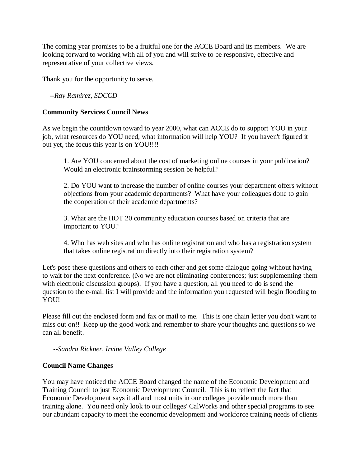The coming year promises to be a fruitful one for the ACCE Board and its members. We are looking forward to working with all of you and will strive to be responsive, effective and representative of your collective views.

Thank you for the opportunity to serve.

 *--Ray Ramirez, SDCCD*

#### **Community Services Council News**

As we begin the countdown toward to year 2000, what can ACCE do to support YOU in your job, what resources do YOU need, what information will help YOU? If you haven't figured it out yet, the focus this year is on YOU!!!!

1. Are YOU concerned about the cost of marketing online courses in your publication? Would an electronic brainstorming session be helpful?

2. Do YOU want to increase the number of online courses your department offers without objections from your academic departments? What have your colleagues done to gain the cooperation of their academic departments?

3. What are the HOT 20 community education courses based on criteria that are important to YOU?

4. Who has web sites and who has online registration and who has a registration system that takes online registration directly into their registration system?

Let's pose these questions and others to each other and get some dialogue going without having to wait for the next conference. (No we are not eliminating conferences; just supplementing them with electronic discussion groups). If you have a question, all you need to do is send the question to the e-mail list I will provide and the information you requested will begin flooding to YOU!

Please fill out the enclosed form and fax or mail to me. This is one chain letter you don't want to miss out on!! Keep up the good work and remember to share your thoughts and questions so we can all benefit.

 *--Sandra Rickner, Irvine Valley College*

#### **Council Name Changes**

You may have noticed the ACCE Board changed the name of the Economic Development and Training Council to just Economic Development Council. This is to reflect the fact that Economic Development says it all and most units in our colleges provide much more than training alone. You need only look to our colleges' CalWorks and other special programs to see our abundant capacity to meet the economic development and workforce training needs of clients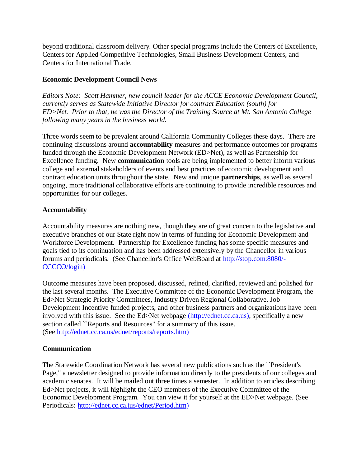beyond traditional classroom delivery. Other special programs include the Centers of Excellence, Centers for Applied Competitive Technologies, Small Business Development Centers, and Centers for International Trade.

#### **Economic Development Council News**

*Editors Note: Scott Hammer, new council leader for the ACCE Economic Development Council, currently serves as Statewide Initiative Director for contract Education (south) for ED>Net. Prior to that, he was the Director of the Training Source at Mt. San Antonio College following many years in the business world.*

Three words seem to be prevalent around California Community Colleges these days. There are continuing discussions around **accountability** measures and performance outcomes for programs funded through the Economic Development Network (ED>Net), as well as Partnership for Excellence funding. New **communication** tools are being implemented to better inform various college and external stakeholders of events and best practices of economic development and contract education units throughout the state. New and unique **partnerships**, as well as several ongoing, more traditional collaborative efforts are continuing to provide incredible resources and opportunities for our colleges.

#### **Accountability**

Accountability measures are nothing new, though they are of great concern to the legislative and executive branches of our State right now in terms of funding for Economic Development and Workforce Development. Partnership for Excellence funding has some specific measures and goals tied to its continuation and has been addressed extensively by the Chancellor in various forums and periodicals. (See Chancellor's Office WebBoard at [http://stop.com:8080/-](http://stop.com:8080/-CCCCO/login)) [CCCCO/login\)](http://stop.com:8080/-CCCCO/login))

Outcome measures have been proposed, discussed, refined, clarified, reviewed and polished for the last several months. The Executive Committee of the Economic Development Program, the Ed>Net Strategic Priority Committees, Industry Driven Regional Collaborative, Job Development Incentive funded projects, and other business partners and organizations have been involved with this issue. See the Ed>Net webpage [\(http://ednet.cc.ca.us\),](http://ednet.cc.ca.us/) specifically a new section called ``Reports and Resources" for a summary of this issue. (See [http://ednet.cc.ca.us/ednet/reports/reports.htm\)](http://ednet.cc.ca.us/ednet/reports/reports.htm)

#### **Communication**

The Statewide Coordination Network has several new publications such as the ``President's Page," a newsletter designed to provide information directly to the presidents of our colleges and academic senates. It will be mailed out three times a semester. In addition to articles describing Ed>Net projects, it will highlight the CEO members of the Executive Committee of the Economic Development Program. You can view it for yourself at the ED>Net webpage. (See Periodicals: [http://ednet.cc.ca.ius/ednet/Period.htm\)](http://ednet.cc.ca.ius/ednet/Period.htm)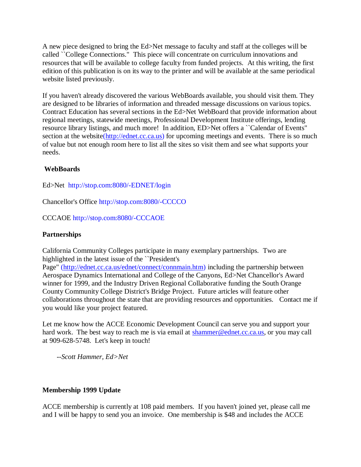A new piece designed to bring the Ed>Net message to faculty and staff at the colleges will be called ``College Connections." This piece will concentrate on curriculum innovations and resources that will be available to college faculty from funded projects. At this writing, the first edition of this publication is on its way to the printer and will be available at the same periodical website listed previously.

If you haven't already discovered the various WebBoards available, you should visit them. They are designed to be libraries of information and threaded message discussions on various topics. Contract Education has several sections in the Ed>Net WebBoard that provide information about regional meetings, statewide meetings, Professional Development Institute offerings, lending resource library listings, and much more! In addition, ED>Net offers a ``Calendar of Events" section at the websit[e\(http://ednet.cc.ca.us\)](http://ednet.cc.ca.us/) for upcoming meetings and events. There is so much of value but not enough room here to list all the sites so visit them and see what supports your needs.

### **WebBoards**

Ed>Net <http://stop.com:8080/-EDNET/login>

Chancellor's Office <http://stop.com:8080/-CCCCO>

CCCAOE <http://stop.com:8080/-CCCAOE>

#### **Partnerships**

California Community Colleges participate in many exemplary partnerships. Two are highlighted in the latest issue of the ``President's

Page" [\(http://ednet.cc.ca.us/ednet/connect/connmain.htm\)](http://ednet.cc.ca.us/ednet/connect/connmain.htm) including the partnership between Aerospace Dynamics International and College of the Canyons, Ed>Net Chancellor's Award winner for 1999, and the Industry Driven Regional Collaborative funding the South Orange County Community College District's Bridge Project. Future articles will feature other collaborations throughout the state that are providing resources and opportunities. Contact me if you would like your project featured.

Let me know how the ACCE Economic Development Council can serve you and support your hard work. The best way to reach me is via email at [shammer@ednet.cc.ca.us,](mailto:shammer@ednet.cc.ca.us) or you may call at 909-628-5748. Let's keep in touch!

*--Scott Hammer, Ed>Net*

#### **Membership 1999 Update**

ACCE membership is currently at 108 paid members. If you haven't joined yet, please call me and I will be happy to send you an invoice. One membership is \$48 and includes the ACCE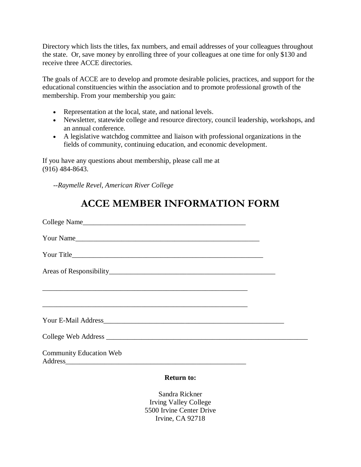Directory which lists the titles, fax numbers, and email addresses of your colleagues throughout the state. Or, save money by enrolling three of your colleagues at one time for only \$130 and receive three ACCE directories.

The goals of ACCE are to develop and promote desirable policies, practices, and support for the educational constituencies within the association and to promote professional growth of the membership. From your membership you gain:

- Representation at the local, state, and national levels.
- Newsletter, statewide college and resource directory, council leadership, workshops, and an annual conference.
- A legislative watchdog committee and liaison with professional organizations in the fields of community, continuing education, and economic development.

If you have any questions about membership, please call me at (916) 484-8643.

*--Raymelle Revel, American River College*

# **ACCE MEMBER INFORMATION FORM**

|                                                                                                                                                                                                                                | <b>Return to:</b> |  |
|--------------------------------------------------------------------------------------------------------------------------------------------------------------------------------------------------------------------------------|-------------------|--|
| Address Address Address Address Address Address Address Address Address Address Address Address Address Address Address Address Address Address Address Address Address Address Address Address Address Address Address Addres |                   |  |
| <b>Community Education Web</b>                                                                                                                                                                                                 |                   |  |
|                                                                                                                                                                                                                                |                   |  |
|                                                                                                                                                                                                                                |                   |  |
|                                                                                                                                                                                                                                |                   |  |
| ,我们也不能在这里的时候,我们也不能在这里的时候,我们也不能会在这里的时候,我们也不能会在这里的时候,我们也不能会在这里的时候,我们也不能会在这里的时候,我们也不                                                                                                                                              |                   |  |
|                                                                                                                                                                                                                                |                   |  |
|                                                                                                                                                                                                                                |                   |  |
| Your Name                                                                                                                                                                                                                      |                   |  |
|                                                                                                                                                                                                                                |                   |  |

Sandra Rickner Irving Valley College 5500 Irvine Center Drive Irvine, CA 92718